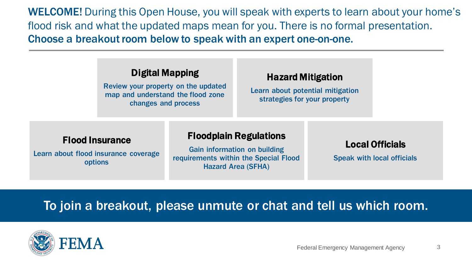#### Digital Mapping

Review your property on the updated map and understand the flood zone changes and process

#### Hazard Mitigation

Learn about potential mitigation strategies for your property

#### Flood Insurance

Learn about flood insurance coverage options

#### Floodplain Regulations

Gain information on building requirements within the Special Flood Hazard Area (SFHA)

#### Local Officials

Speak with local officials

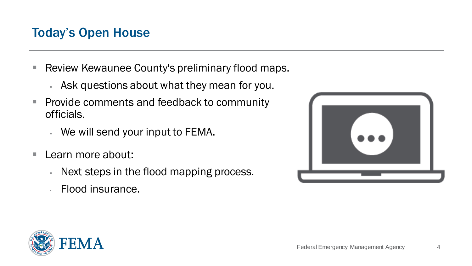# Today's Open House

- Review Kewaunee County's preliminary flood maps.
	- **Ask questions about what they mean for you.**
- Provide comments and feedback to community officials.
	- We will send your input to FEMA.
- Learn more about:
	- **Next steps in the flood mapping process.**
	- Flood insurance.



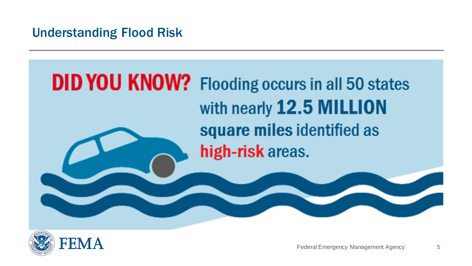# Understanding Flood Risk

# **DID YOU KNOW?** Flooding occurs in all 50 states with nearly 12.5 MILLION square miles identified as high-risk areas.

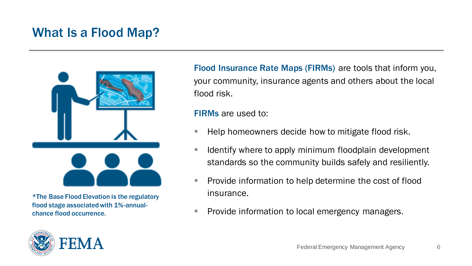# What Is a Flood Map?



\*The Base Flood Elevation is the regulatory flood stage associated with 1%-annualchance flood occurrence.



Flood Insurance Rate Maps (FIRMs) are tools that inform you, your community, insurance agents and others about the local flood risk.

FIRMs are used to:

- Help homeowners decide how to mitigate flood risk.
- Identify where to apply minimum floodplain development standards so the community builds safely and resiliently.
- Provide information to help determine the cost of flood insurance.
- Provide information to local emergency managers.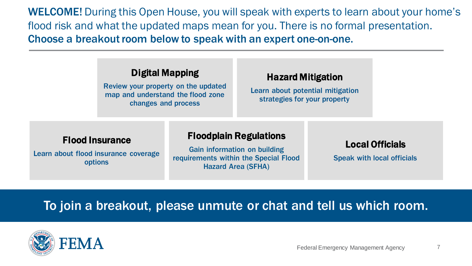#### Digital Mapping

Review your property on the updated map and understand the flood zone changes and process

#### Hazard Mitigation

Learn about potential mitigation strategies for your property

#### Flood Insurance

Learn about flood insurance coverage options

#### Floodplain Regulations

Gain information on building requirements within the Special Flood Hazard Area (SFHA)

#### Local Officials

Speak with local officials

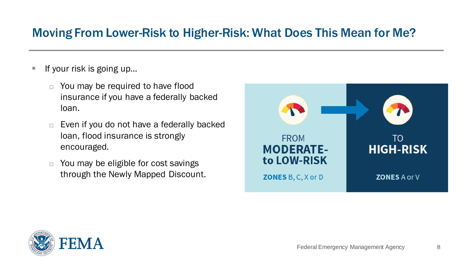## Moving From Lower-Risk to Higher-Risk: What Does This Mean for Me?

- **F** If your risk is going up...
	- $\Box$  You may be required to have flood insurance if you have a federally backed loan.
	- $\Box$  Even if you do not have a federally backed loan, flood insurance is strongly encouraged.
	- $\Box$  You may be eligible for cost savings through the Newly Mapped Discount.



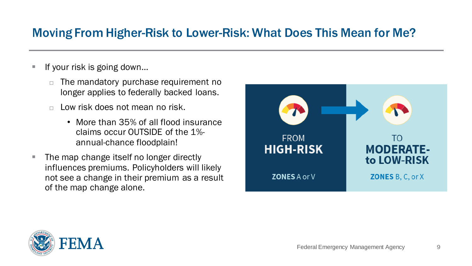# Moving From Higher-Risk to Lower-Risk: What Does This Mean for Me?

- If your risk is going down...
	- The mandatory purchase requirement no longer applies to federally backed loans.
	- $\Box$  Low risk does not mean no risk.
		- More than 35% of all flood insurance claims occur OUTSIDE of the 1% annual-chance floodplain!
- The map change itself no longer directly influences premiums. Policyholders will likely not see a change in their premium as a result of the map change alone.



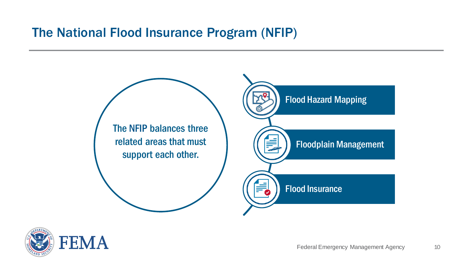# The National Flood Insurance Program (NFIP)



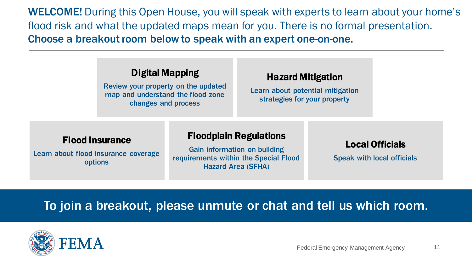#### Digital Mapping

Review your property on the updated map and understand the flood zone changes and process

#### Hazard Mitigation

Learn about potential mitigation strategies for your property

#### Flood Insurance

Learn about flood insurance coverage options

#### Floodplain Regulations

Gain information on building requirements within the Special Flood Hazard Area (SFHA)

#### Local Officials

Speak with local officials

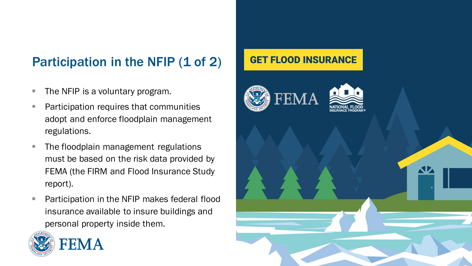# Participation in the NFIP (1 of 2)

- The NFIP is a voluntary program.
- Participation requires that communities adopt and enforce floodplain management regulations.
- The floodplain management regulations must be based on the risk data provided by FEMA (the FIRM and Flood Insurance Study report).
- Participation in the NFIP makes federal flood insurance available to insure buildings and personal property inside them.



#### **GET FLOOD INSURANCE**

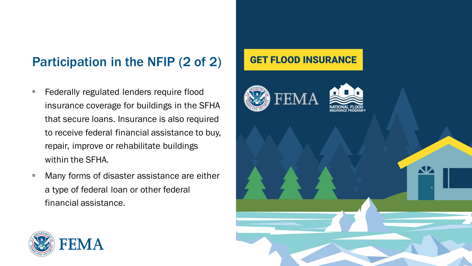# Participation in the NFIP (2 of 2)

- **EXE** Federally regulated lenders require flood insurance coverage for buildings in the SFHA that secure loans. Insurance is also required to receive federal financial assistance to buy, repair, improve or rehabilitate buildings within the SFHA.
- Many forms of disaster assistance are either a type of federal loan or other federal financial assistance.

#### **GET FLOOD INSURANCE**



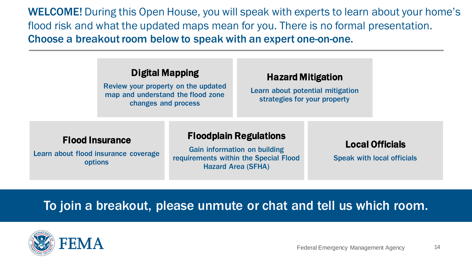#### Digital Mapping

Review your property on the updated map and understand the flood zone changes and process

#### Hazard Mitigation

Learn about potential mitigation strategies for your property

#### Flood Insurance

Learn about flood insurance coverage options

#### Floodplain Regulations

Gain information on building requirements within the Special Flood Hazard Area (SFHA)

#### Local Officials

Speak with local officials

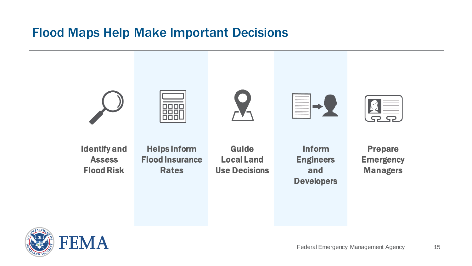# Flood Maps Help Make Important Decisions



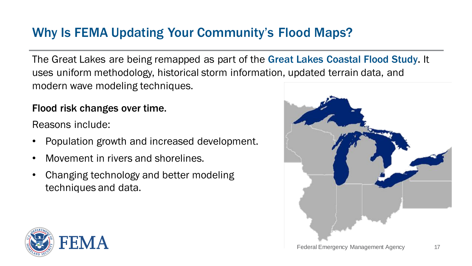# Why Is FEMA Updating Your Community's Flood Maps?

The Great Lakes are being remapped as part of the Great Lakes Coastal Flood Study. It uses uniform methodology, historical storm information, updated terrain data, and modern wave modeling techniques.

#### Flood risk changes over time.

Reasons include:

- Population growth and increased development.
- Movement in rivers and shorelines.
- Changing technology and better modeling techniques and data.



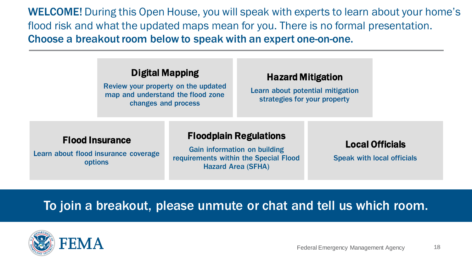#### Digital Mapping

Review your property on the updated map and understand the flood zone changes and process

#### Hazard Mitigation

Learn about potential mitigation strategies for your property

#### Flood Insurance

Learn about flood insurance coverage options

#### Floodplain Regulations

Gain information on building requirements within the Special Flood Hazard Area (SFHA)

#### Local Officials

Speak with local officials

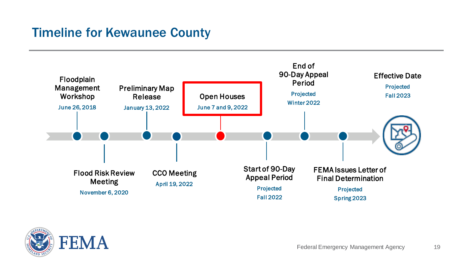# Timeline for Kewaunee County



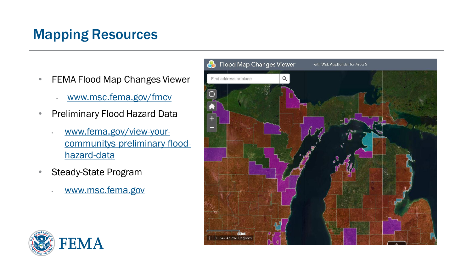# Mapping Resources

- FEMA Flood Map Changes Viewer
	- [www.msc.fema.gov/fmcv](http://www.msc.fema.gov/fmcv)
- Preliminary Flood Hazard Data
	- www.fema.gov/view-your[communitys-preliminary-flood](http://www.fema.gov/view-your-communitys-preliminary-flood-hazard-data)hazard-data
- Steady-State Program
	- [www.msc.fema.gov](http://www.msc.fema.gov/)



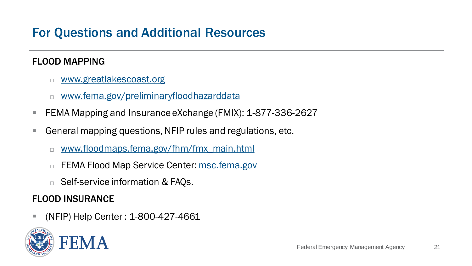# For Questions and Additional Resources

#### FLOOD MAPPING

- **[www.greatlakescoast.org](http://www.greatlakescoast.org/)**
- [www.fema.gov/preliminaryfloodhazarddata](http://www.fema.gov/preliminaryfloodhazarddata)
- FEMA Mapping and Insurance eXchange (FMIX): 1-877-336-2627
- General mapping questions, NFIP rules and regulations, etc.
	- [www.floodmaps.fema.gov/fhm/fmx\\_main.html](http://www.floodmaps.fema.gov/fhm/fmx_main.html)
	- FEMA Flood Map Service Center: [msc.fema.gov](http://msc.fema.gov)
	- □ Self-service information & FAQs.

#### FLOOD INSURANCE

▪ (NFIP) Help Center : 1-800-427-4661